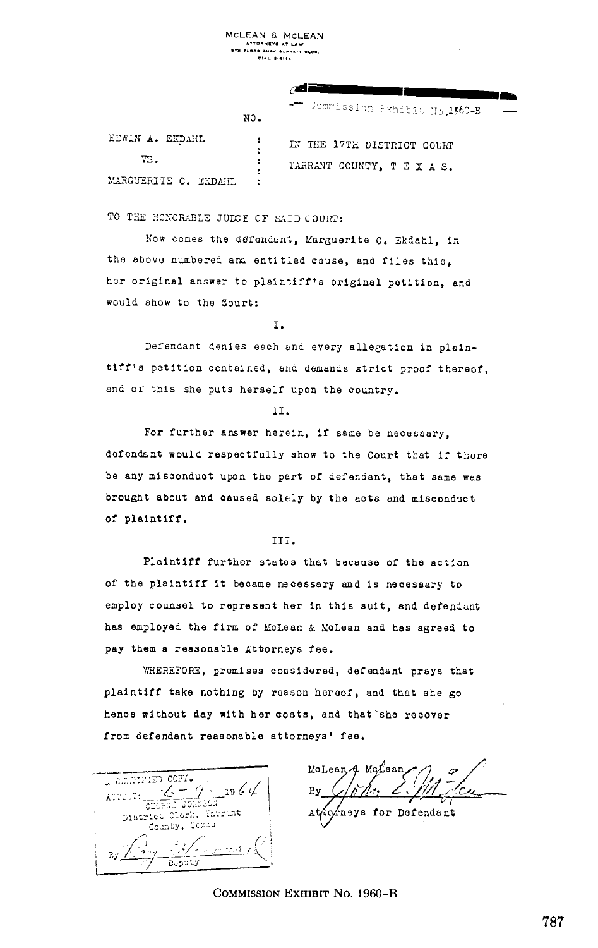MCLEAN & MCLEAN .. . . . . . .

| NO.                       | .<br>- Commission Exhibit No.1560-B                  |
|---------------------------|------------------------------------------------------|
| EDWIN A. EKDAHL<br>VS.    | IN THE 17TH DISTRICT COURT<br>TARRANT COUNTY, TEXAS. |
| ٠<br>MARGUERITE C. EKDAHL |                                                      |

TO THE HONORABLE JUDGE OF SAID COURT:

Now comes the defendant, Marguerite C. Ekdahl, in the above numbered and entitled cause, and files this, her original answer to plaintiff's original petition, and would show to the Sourt:

I.

Defendant denies each end every allegation in plaintiff's petition contained, and demands strict proof thereof, and of this she puts herself upon the country.

II .

For further answer herein, if same be necessary, defendant would respectfully show to the Court that if there be any misconduct upon the part of defendant, that same was brought about and caused solely by the acts and misconduct of plaintiff.

III.

Plaintiff further states that because of the action of the plaintiff it became necessary and Is necessary to employ counsel to represent her in this suit, and defendant has employed the firm of McLean & McLean and has agreed to pay them a reasonable Lttorneys fee.

WHEREFORE, premises considered, defendant prays that plaintiff take nothing by reason hereof, and that she go hence without day with her costs, and that'she recover from defendant reasonable attorneys' fee.

 $\frac{\cos t}{\cos t}$ \_19 6 4 ATTEST:  $C$  is  $C$  .  $C$ County, Texas  $27\frac{1}{27}$ 31 e s D~Paty

MoLean 4 McLean By to neys for Defendant

COMMISSION EXHIBIT No. 1960-B